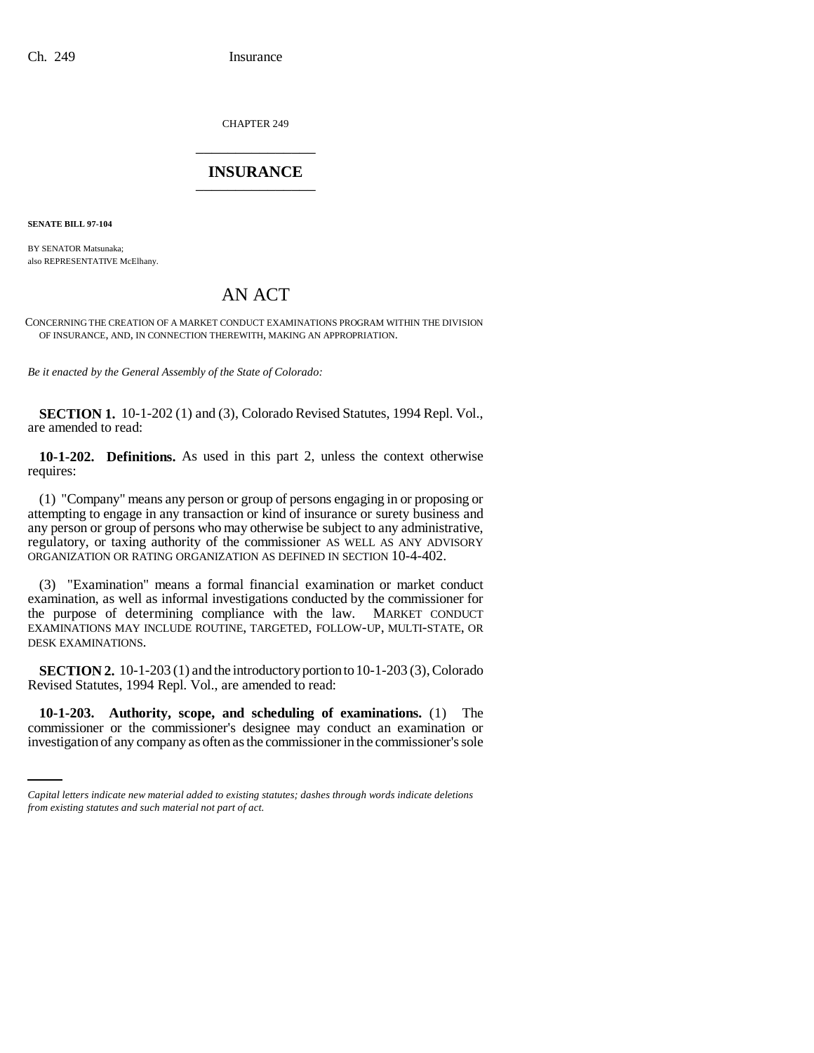CHAPTER 249 \_\_\_\_\_\_\_\_\_\_\_\_\_\_\_

## **INSURANCE** \_\_\_\_\_\_\_\_\_\_\_\_\_\_\_

**SENATE BILL 97-104**

BY SENATOR Matsunaka; also REPRESENTATIVE McElhany.

# AN ACT

CONCERNING THE CREATION OF A MARKET CONDUCT EXAMINATIONS PROGRAM WITHIN THE DIVISION OF INSURANCE, AND, IN CONNECTION THEREWITH, MAKING AN APPROPRIATION.

*Be it enacted by the General Assembly of the State of Colorado:*

**SECTION 1.** 10-1-202 (1) and (3), Colorado Revised Statutes, 1994 Repl. Vol., are amended to read:

**10-1-202. Definitions.** As used in this part 2, unless the context otherwise requires:

(1) "Company" means any person or group of persons engaging in or proposing or attempting to engage in any transaction or kind of insurance or surety business and any person or group of persons who may otherwise be subject to any administrative, regulatory, or taxing authority of the commissioner AS WELL AS ANY ADVISORY ORGANIZATION OR RATING ORGANIZATION AS DEFINED IN SECTION 10-4-402.

(3) "Examination" means a formal financial examination or market conduct examination, as well as informal investigations conducted by the commissioner for the purpose of determining compliance with the law. MARKET CONDUCT EXAMINATIONS MAY INCLUDE ROUTINE, TARGETED, FOLLOW-UP, MULTI-STATE, OR DESK EXAMINATIONS.

**SECTION 2.** 10-1-203 (1) and the introductory portion to 10-1-203 (3), Colorado Revised Statutes, 1994 Repl. Vol., are amended to read:

 **10-1-203. Authority, scope, and scheduling of examinations.** (1) The commissioner or the commissioner's designee may conduct an examination or investigation of any company as often as the commissioner in the commissioner's sole

*Capital letters indicate new material added to existing statutes; dashes through words indicate deletions from existing statutes and such material not part of act.*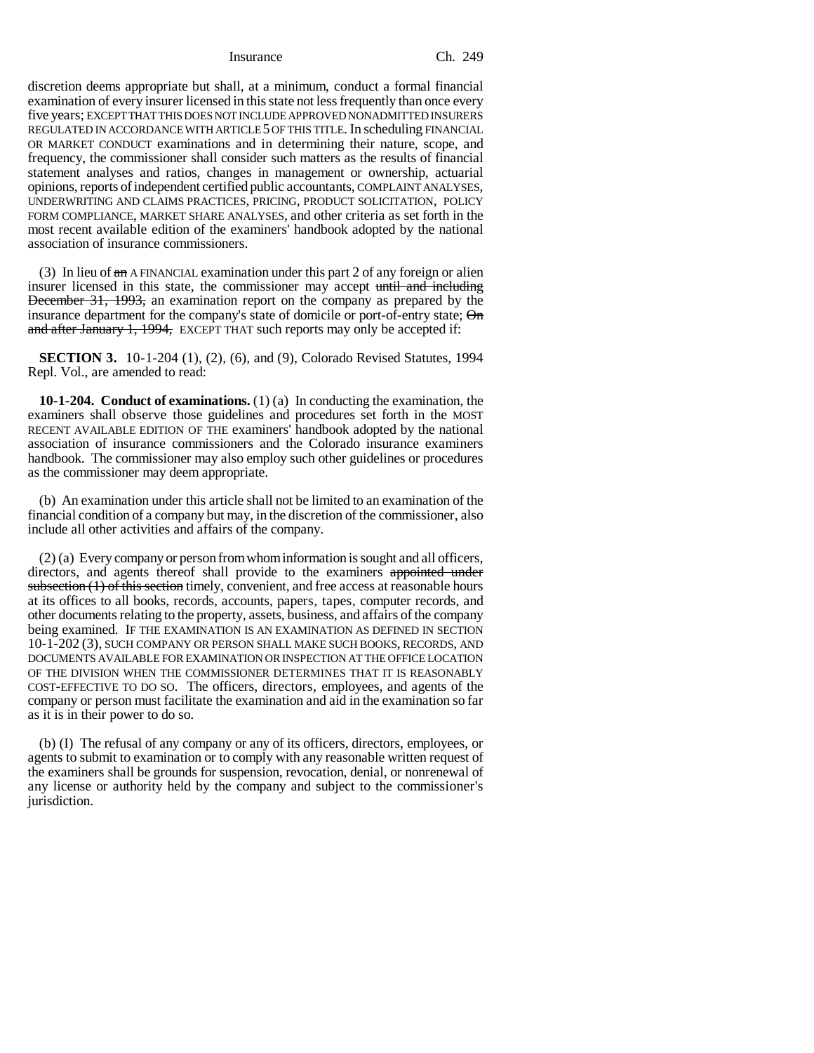#### Insurance Ch. 249

discretion deems appropriate but shall, at a minimum, conduct a formal financial examination of every insurer licensed in this state not less frequently than once every five years; EXCEPT THAT THIS DOES NOT INCLUDE APPROVED NONADMITTED INSURERS REGULATED IN ACCORDANCE WITH ARTICLE 5 OF THIS TITLE. In scheduling FINANCIAL OR MARKET CONDUCT examinations and in determining their nature, scope, and frequency, the commissioner shall consider such matters as the results of financial statement analyses and ratios, changes in management or ownership, actuarial opinions, reports of independent certified public accountants, COMPLAINT ANALYSES, UNDERWRITING AND CLAIMS PRACTICES, PRICING, PRODUCT SOLICITATION, POLICY FORM COMPLIANCE, MARKET SHARE ANALYSES, and other criteria as set forth in the most recent available edition of the examiners' handbook adopted by the national association of insurance commissioners.

(3) In lieu of an A FINANCIAL examination under this part 2 of any foreign or alien insurer licensed in this state, the commissioner may accept until and including December 31, 1993, an examination report on the company as prepared by the insurance department for the company's state of domicile or port-of-entry state;  $\Theta$ n and after January 1, 1994, EXCEPT THAT such reports may only be accepted if:

**SECTION 3.** 10-1-204 (1), (2), (6), and (9), Colorado Revised Statutes, 1994 Repl. Vol., are amended to read:

**10-1-204. Conduct of examinations.** (1) (a) In conducting the examination, the examiners shall observe those guidelines and procedures set forth in the MOST RECENT AVAILABLE EDITION OF THE examiners' handbook adopted by the national association of insurance commissioners and the Colorado insurance examiners handbook. The commissioner may also employ such other guidelines or procedures as the commissioner may deem appropriate.

(b) An examination under this article shall not be limited to an examination of the financial condition of a company but may, in the discretion of the commissioner, also include all other activities and affairs of the company.

(2) (a) Every company or person from whom information is sought and all officers, directors, and agents thereof shall provide to the examiners appointed under subsection (1) of this section timely, convenient, and free access at reasonable hours at its offices to all books, records, accounts, papers, tapes, computer records, and other documents relating to the property, assets, business, and affairs of the company being examined. IF THE EXAMINATION IS AN EXAMINATION AS DEFINED IN SECTION 10-1-202 (3), SUCH COMPANY OR PERSON SHALL MAKE SUCH BOOKS, RECORDS, AND DOCUMENTS AVAILABLE FOR EXAMINATION OR INSPECTION AT THE OFFICE LOCATION OF THE DIVISION WHEN THE COMMISSIONER DETERMINES THAT IT IS REASONABLY COST-EFFECTIVE TO DO SO. The officers, directors, employees, and agents of the company or person must facilitate the examination and aid in the examination so far as it is in their power to do so.

(b) (I) The refusal of any company or any of its officers, directors, employees, or agents to submit to examination or to comply with any reasonable written request of the examiners shall be grounds for suspension, revocation, denial, or nonrenewal of any license or authority held by the company and subject to the commissioner's jurisdiction.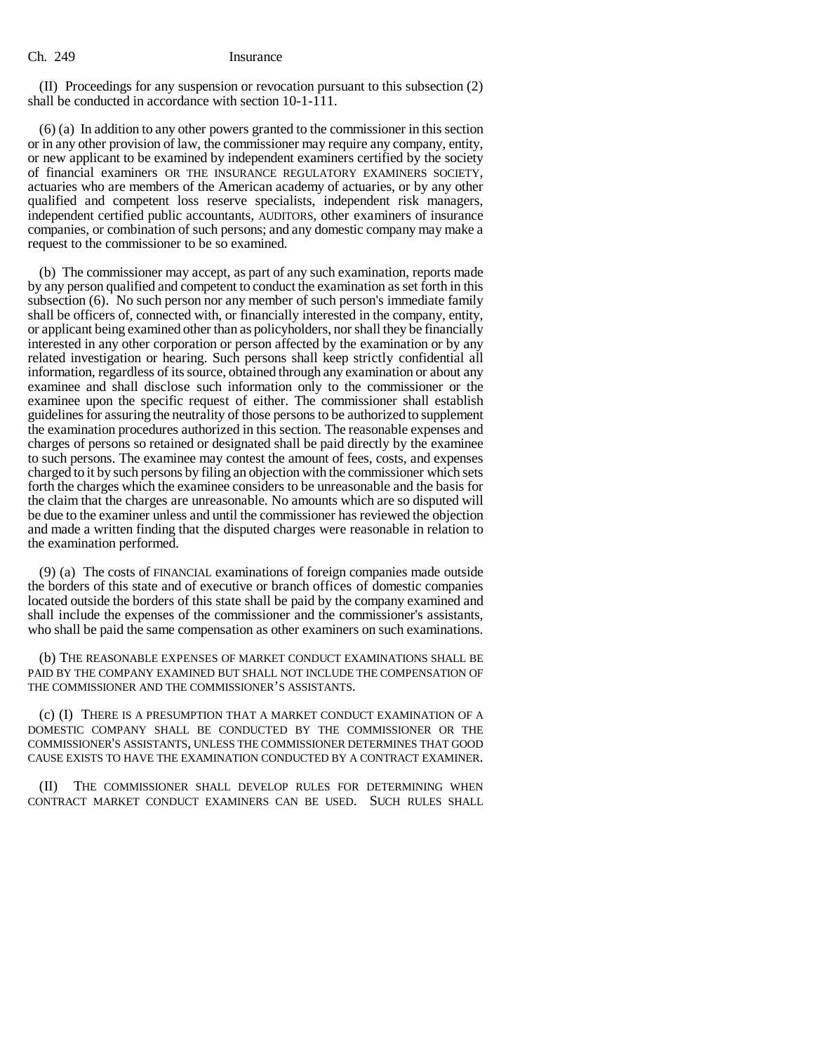### Ch. 249 Insurance

(II) Proceedings for any suspension or revocation pursuant to this subsection (2) shall be conducted in accordance with section 10-1-111.

(6) (a) In addition to any other powers granted to the commissioner in this section or in any other provision of law, the commissioner may require any company, entity, or new applicant to be examined by independent examiners certified by the society of financial examiners OR THE INSURANCE REGULATORY EXAMINERS SOCIETY, actuaries who are members of the American academy of actuaries, or by any other qualified and competent loss reserve specialists, independent risk managers, independent certified public accountants, AUDITORS, other examiners of insurance companies, or combination of such persons; and any domestic company may make a request to the commissioner to be so examined.

(b) The commissioner may accept, as part of any such examination, reports made by any person qualified and competent to conduct the examination as set forth in this subsection (6). No such person nor any member of such person's immediate family shall be officers of, connected with, or financially interested in the company, entity, or applicant being examined other than as policyholders, nor shall they be financially interested in any other corporation or person affected by the examination or by any related investigation or hearing. Such persons shall keep strictly confidential all information, regardless of its source, obtained through any examination or about any examinee and shall disclose such information only to the commissioner or the examinee upon the specific request of either. The commissioner shall establish guidelines for assuring the neutrality of those persons to be authorized to supplement the examination procedures authorized in this section. The reasonable expenses and charges of persons so retained or designated shall be paid directly by the examinee to such persons. The examinee may contest the amount of fees, costs, and expenses charged to it by such persons by filing an objection with the commissioner which sets forth the charges which the examinee considers to be unreasonable and the basis for the claim that the charges are unreasonable. No amounts which are so disputed will be due to the examiner unless and until the commissioner has reviewed the objection and made a written finding that the disputed charges were reasonable in relation to the examination performed.

(9) (a) The costs of FINANCIAL examinations of foreign companies made outside the borders of this state and of executive or branch offices of domestic companies located outside the borders of this state shall be paid by the company examined and shall include the expenses of the commissioner and the commissioner's assistants, who shall be paid the same compensation as other examiners on such examinations.

(b) THE REASONABLE EXPENSES OF MARKET CONDUCT EXAMINATIONS SHALL BE PAID BY THE COMPANY EXAMINED BUT SHALL NOT INCLUDE THE COMPENSATION OF THE COMMISSIONER AND THE COMMISSIONER'S ASSISTANTS.

(c) (I) THERE IS A PRESUMPTION THAT A MARKET CONDUCT EXAMINATION OF A DOMESTIC COMPANY SHALL BE CONDUCTED BY THE COMMISSIONER OR THE COMMISSIONER'S ASSISTANTS, UNLESS THE COMMISSIONER DETERMINES THAT GOOD CAUSE EXISTS TO HAVE THE EXAMINATION CONDUCTED BY A CONTRACT EXAMINER.

THE COMMISSIONER SHALL DEVELOP RULES FOR DETERMINING WHEN CONTRACT MARKET CONDUCT EXAMINERS CAN BE USED. SUCH RULES SHALL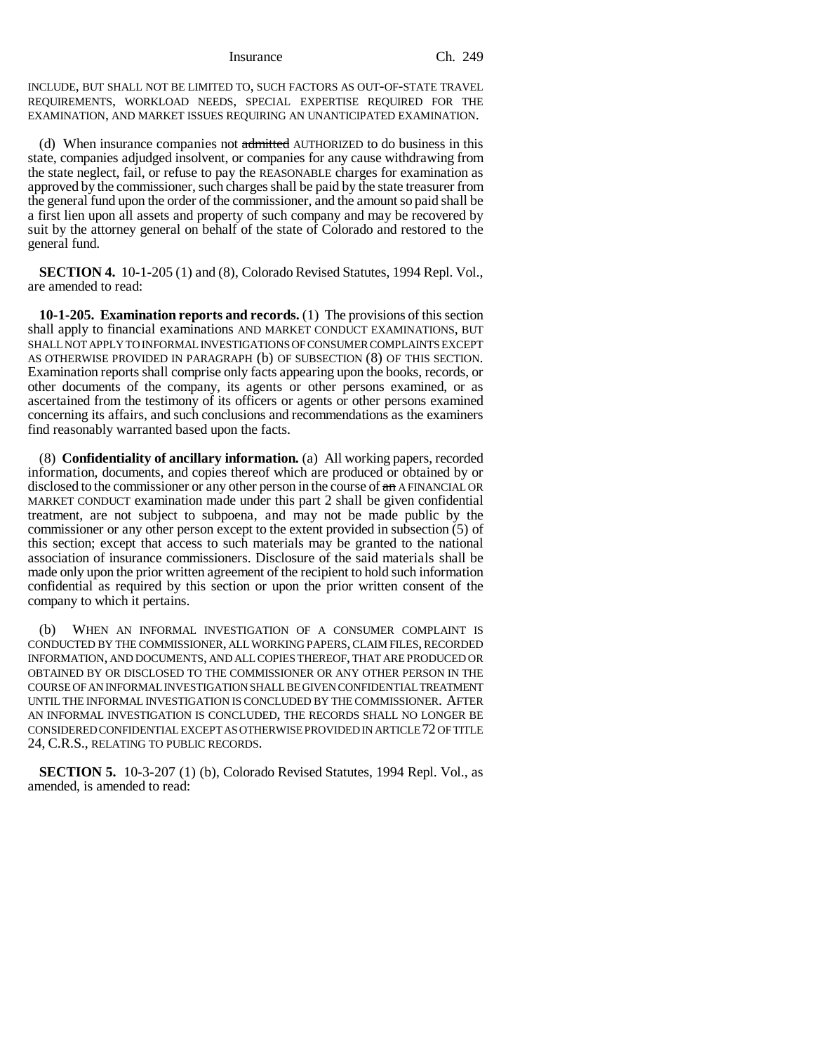Insurance Ch. 249

INCLUDE, BUT SHALL NOT BE LIMITED TO, SUCH FACTORS AS OUT-OF-STATE TRAVEL REQUIREMENTS, WORKLOAD NEEDS, SPECIAL EXPERTISE REQUIRED FOR THE EXAMINATION, AND MARKET ISSUES REQUIRING AN UNANTICIPATED EXAMINATION.

(d) When insurance companies not admitted AUTHORIZED to do business in this state, companies adjudged insolvent, or companies for any cause withdrawing from the state neglect, fail, or refuse to pay the REASONABLE charges for examination as approved by the commissioner, such charges shall be paid by the state treasurer from the general fund upon the order of the commissioner, and the amount so paid shall be a first lien upon all assets and property of such company and may be recovered by suit by the attorney general on behalf of the state of Colorado and restored to the general fund.

**SECTION 4.** 10-1-205 (1) and (8), Colorado Revised Statutes, 1994 Repl. Vol., are amended to read:

**10-1-205. Examination reports and records.** (1) The provisions of this section shall apply to financial examinations AND MARKET CONDUCT EXAMINATIONS, BUT SHALL NOT APPLY TO INFORMAL INVESTIGATIONS OF CONSUMER COMPLAINTS EXCEPT AS OTHERWISE PROVIDED IN PARAGRAPH (b) OF SUBSECTION (8) OF THIS SECTION. Examination reports shall comprise only facts appearing upon the books, records, or other documents of the company, its agents or other persons examined, or as ascertained from the testimony of its officers or agents or other persons examined concerning its affairs, and such conclusions and recommendations as the examiners find reasonably warranted based upon the facts.

(8) **Confidentiality of ancillary information.** (a) All working papers, recorded information, documents, and copies thereof which are produced or obtained by or disclosed to the commissioner or any other person in the course of  $\frac{d}{dx}$  A FINANCIAL OR MARKET CONDUCT examination made under this part 2 shall be given confidential treatment, are not subject to subpoena, and may not be made public by the commissioner or any other person except to the extent provided in subsection (5) of this section; except that access to such materials may be granted to the national association of insurance commissioners. Disclosure of the said materials shall be made only upon the prior written agreement of the recipient to hold such information confidential as required by this section or upon the prior written consent of the company to which it pertains.

(b) WHEN AN INFORMAL INVESTIGATION OF A CONSUMER COMPLAINT IS CONDUCTED BY THE COMMISSIONER, ALL WORKING PAPERS, CLAIM FILES, RECORDED INFORMATION, AND DOCUMENTS, AND ALL COPIES THEREOF, THAT ARE PRODUCED OR OBTAINED BY OR DISCLOSED TO THE COMMISSIONER OR ANY OTHER PERSON IN THE COURSE OF AN INFORMAL INVESTIGATION SHALL BE GIVEN CONFIDENTIAL TREATMENT UNTIL THE INFORMAL INVESTIGATION IS CONCLUDED BY THE COMMISSIONER. AFTER AN INFORMAL INVESTIGATION IS CONCLUDED, THE RECORDS SHALL NO LONGER BE CONSIDERED CONFIDENTIAL EXCEPT AS OTHERWISE PROVIDED IN ARTICLE 72 OF TITLE 24, C.R.S., RELATING TO PUBLIC RECORDS.

**SECTION 5.** 10-3-207 (1) (b), Colorado Revised Statutes, 1994 Repl. Vol., as amended, is amended to read: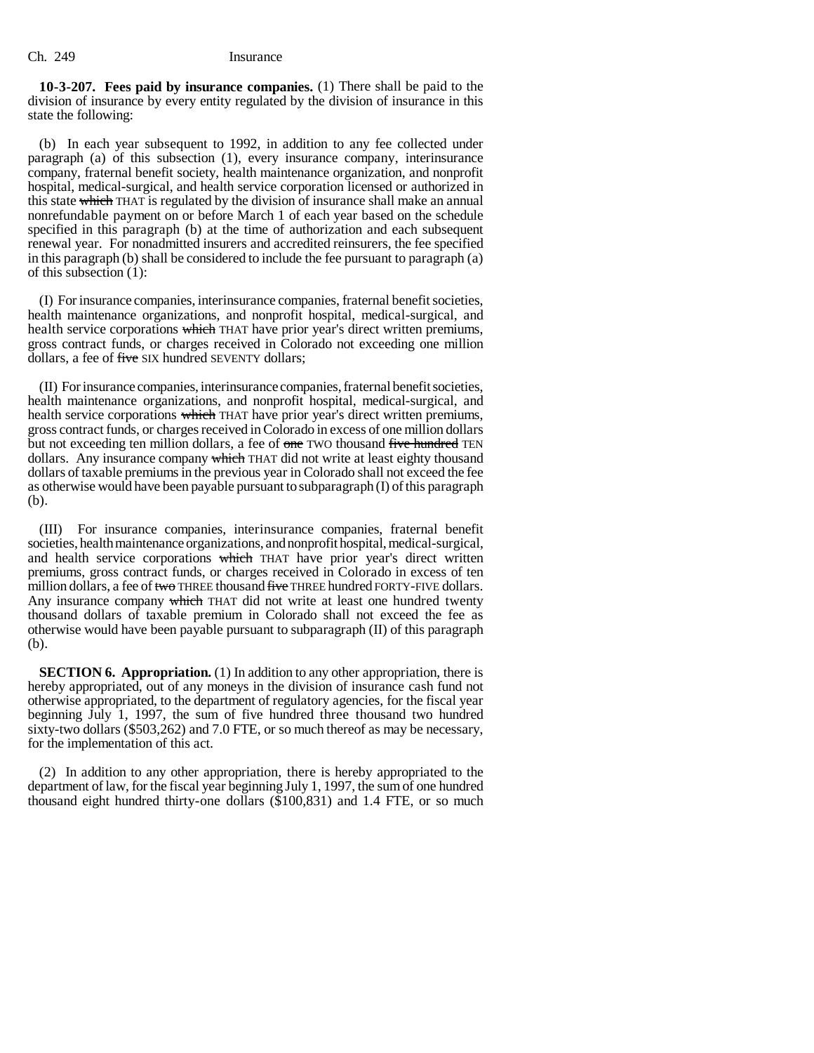**10-3-207. Fees paid by insurance companies.** (1) There shall be paid to the division of insurance by every entity regulated by the division of insurance in this state the following:

(b) In each year subsequent to 1992, in addition to any fee collected under paragraph (a) of this subsection (1), every insurance company, interinsurance company, fraternal benefit society, health maintenance organization, and nonprofit hospital, medical-surgical, and health service corporation licensed or authorized in this state which THAT is regulated by the division of insurance shall make an annual nonrefundable payment on or before March 1 of each year based on the schedule specified in this paragraph (b) at the time of authorization and each subsequent renewal year. For nonadmitted insurers and accredited reinsurers, the fee specified in this paragraph (b) shall be considered to include the fee pursuant to paragraph (a) of this subsection (1):

(I) For insurance companies, interinsurance companies, fraternal benefit societies, health maintenance organizations, and nonprofit hospital, medical-surgical, and health service corporations which THAT have prior year's direct written premiums, gross contract funds, or charges received in Colorado not exceeding one million dollars, a fee of five SIX hundred SEVENTY dollars;

(II) For insurance companies, interinsurance companies, fraternal benefit societies, health maintenance organizations, and nonprofit hospital, medical-surgical, and health service corporations which THAT have prior year's direct written premiums, gross contract funds, or charges received in Colorado in excess of one million dollars but not exceeding ten million dollars, a fee of one TWO thousand five hundred TEN dollars. Any insurance company which THAT did not write at least eighty thousand dollars of taxable premiums in the previous year in Colorado shall not exceed the fee as otherwise would have been payable pursuant to subparagraph (I) of this paragraph (b).

(III) For insurance companies, interinsurance companies, fraternal benefit societies, health maintenance organizations, and nonprofit hospital, medical-surgical, and health service corporations which THAT have prior year's direct written premiums, gross contract funds, or charges received in Colorado in excess of ten million dollars, a fee of two THREE thousand five THREE hundred FORTY-FIVE dollars. Any insurance company which THAT did not write at least one hundred twenty thousand dollars of taxable premium in Colorado shall not exceed the fee as otherwise would have been payable pursuant to subparagraph (II) of this paragraph (b).

**SECTION 6. Appropriation.** (1) In addition to any other appropriation, there is hereby appropriated, out of any moneys in the division of insurance cash fund not otherwise appropriated, to the department of regulatory agencies, for the fiscal year beginning July 1, 1997, the sum of five hundred three thousand two hundred sixty-two dollars (\$503,262) and 7.0 FTE, or so much thereof as may be necessary, for the implementation of this act.

(2) In addition to any other appropriation, there is hereby appropriated to the department of law, for the fiscal year beginning July 1, 1997, the sum of one hundred thousand eight hundred thirty-one dollars (\$100,831) and 1.4 FTE, or so much